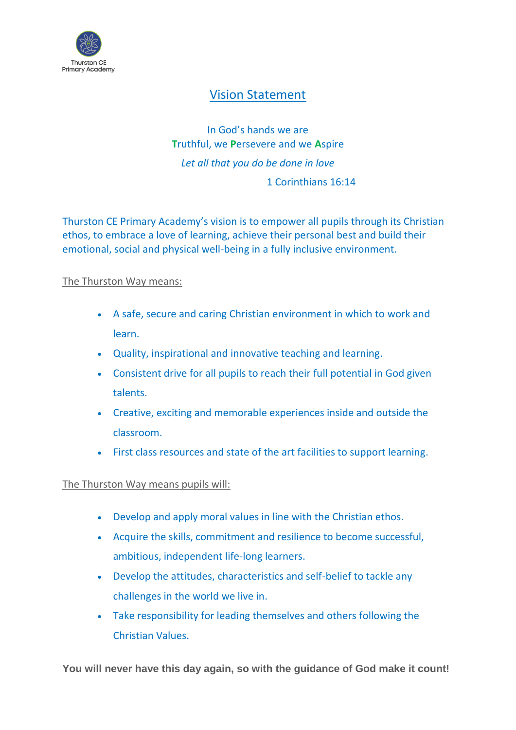

## Vision Statement

In God's hands we are **T**ruthful, we **P**ersevere and we **A**spire *Let all that you do be done in love* 1 Corinthians 16:14

Thurston CE Primary Academy's vision is to empower all pupils through its Christian ethos, to embrace a love of learning, achieve their personal best and build their emotional, social and physical well-being in a fully inclusive environment.

## The Thurston Way means:

- A safe, secure and caring Christian environment in which to work and learn.
- Quality, inspirational and innovative teaching and learning.
- Consistent drive for all pupils to reach their full potential in God given talents.
- Creative, exciting and memorable experiences inside and outside the classroom.
- First class resources and state of the art facilities to support learning.

## The Thurston Way means pupils will:

- Develop and apply moral values in line with the Christian ethos.
- Acquire the skills, commitment and resilience to become successful, ambitious, independent life-long learners.
- Develop the attitudes, characteristics and self-belief to tackle any challenges in the world we live in.
- Take responsibility for leading themselves and others following the Christian Values.

**You will never have this day again, so with the guidance of God make it count!**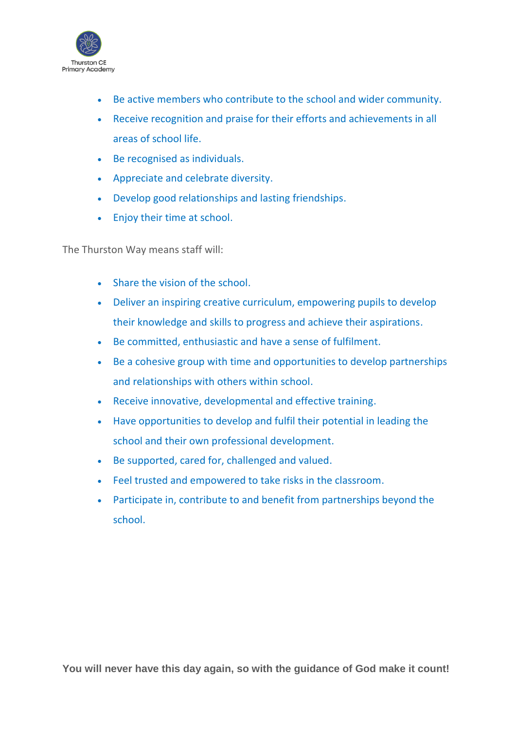

- Be active members who contribute to the school and wider community.
- Receive recognition and praise for their efforts and achievements in all areas of school life.
- Be recognised as individuals.
- Appreciate and celebrate diversity.
- Develop good relationships and lasting friendships.
- Enjoy their time at school.

The Thurston Way means staff will:

- Share the vision of the school.
- Deliver an inspiring creative curriculum, empowering pupils to develop their knowledge and skills to progress and achieve their aspirations.
- Be committed, enthusiastic and have a sense of fulfilment.
- Be a cohesive group with time and opportunities to develop partnerships and relationships with others within school.
- Receive innovative, developmental and effective training.
- Have opportunities to develop and fulfil their potential in leading the school and their own professional development.
- Be supported, cared for, challenged and valued.
- Feel trusted and empowered to take risks in the classroom.
- Participate in, contribute to and benefit from partnerships beyond the school.